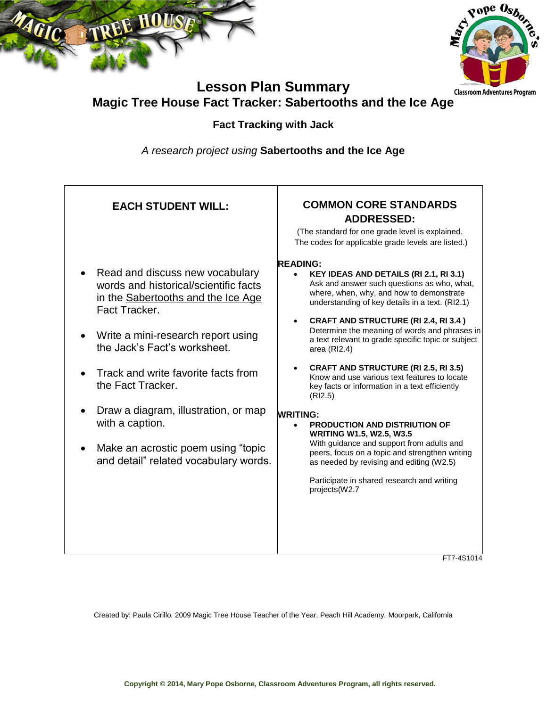



# **Lesson Plan Summary Magic Tree House Fact Tracker: Sabertooths and the Ice Age**

#### **Fact Tracking with Jack**

*A research project using* **Sabertooths and the Ice Age**

| <b>EACH STUDENT WILL:</b>                                                                                                                                                                                                                                                                                                                                                                                    | <b>COMMON CORE STANDARDS</b><br><b>ADDRESSED:</b><br>(The standard for one grade level is explained.<br>The codes for applicable grade levels are listed.)                                                                                                                                                                                                                                                                                                                                                                                                                                                                                                                                                                                                                                                                                                     |
|--------------------------------------------------------------------------------------------------------------------------------------------------------------------------------------------------------------------------------------------------------------------------------------------------------------------------------------------------------------------------------------------------------------|----------------------------------------------------------------------------------------------------------------------------------------------------------------------------------------------------------------------------------------------------------------------------------------------------------------------------------------------------------------------------------------------------------------------------------------------------------------------------------------------------------------------------------------------------------------------------------------------------------------------------------------------------------------------------------------------------------------------------------------------------------------------------------------------------------------------------------------------------------------|
| Read and discuss new vocabulary<br>words and historical/scientific facts<br>in the Sabertooths and the Ice Age<br>Fact Tracker.<br>Write a mini-research report using<br>the Jack's Fact's worksheet.<br>Track and write favorite facts from<br>the Fact Tracker.<br>Draw a diagram, illustration, or map<br>with a caption.<br>Make an acrostic poem using "topic"<br>and detail" related vocabulary words. | <b>READING:</b><br>KEY IDEAS AND DETAILS (RI 2.1, RI 3.1)<br>$\bullet$<br>Ask and answer such questions as who, what,<br>where, when, why, and how to demonstrate<br>understanding of key details in a text. (RI2.1)<br>CRAFT AND STRUCTURE (RI 2.4, RI 3.4)<br>Determine the meaning of words and phrases in<br>a text relevant to grade specific topic or subject<br>area (RI2.4)<br><b>CRAFT AND STRUCTURE (RI 2.5, RI 3.5)</b><br>Know and use various text features to locate<br>key facts or information in a text efficiently<br>(RI2.5)<br><b>WRITING:</b><br>PRODUCTION AND DISTRIUTION OF<br><b>WRITING W1.5, W2.5, W3.5</b><br>With guidance and support from adults and<br>peers, focus on a topic and strengthen writing<br>as needed by revising and editing (W2.5)<br>Participate in shared research and writing<br>projects(W2.7<br>FT7-4S1014 |

Created by: Paula Cirillo, 2009 Magic Tree House Teacher of the Year, Peach Hill Academy, Moorpark, California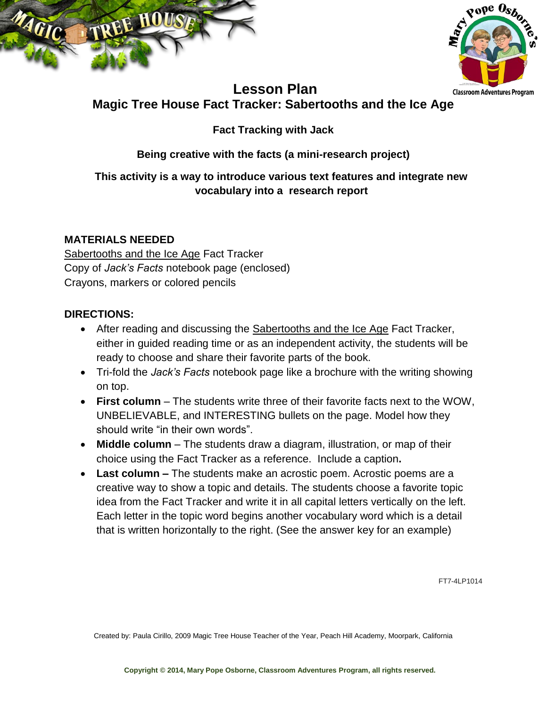



## **Lesson Plan Magic Tree House Fact Tracker: Sabertooths and the Ice Age**

## **Fact Tracking with Jack**

### **Being creative with the facts (a mini-research project)**

#### **This activity is a way to introduce various text features and integrate new vocabulary into a research report**

#### **MATERIALS NEEDED**

Sabertooths and the Ice Age Fact Tracker Copy of *Jack's Facts* notebook page (enclosed) Crayons, markers or colored pencils

#### **DIRECTIONS:**

- After reading and discussing the Sabertooths and the Ice Age Fact Tracker, either in guided reading time or as an independent activity, the students will be ready to choose and share their favorite parts of the book.
- Tri-fold the *Jack's Facts* notebook page like a brochure with the writing showing on top.
- **First column** The students write three of their favorite facts next to the WOW, UNBELIEVABLE, and INTERESTING bullets on the page. Model how they should write "in their own words".
- **Middle column** The students draw a diagram, illustration, or map of their choice using the Fact Tracker as a reference. Include a caption**.**
- **Last column –** The students make an acrostic poem. Acrostic poems are a creative way to show a topic and details. The students choose a favorite topic idea from the Fact Tracker and write it in all capital letters vertically on the left. Each letter in the topic word begins another vocabulary word which is a detail that is written horizontally to the right. (See the answer key for an example)

FT7-4LP1014

Created by: Paula Cirillo, 2009 Magic Tree House Teacher of the Year, Peach Hill Academy, Moorpark, California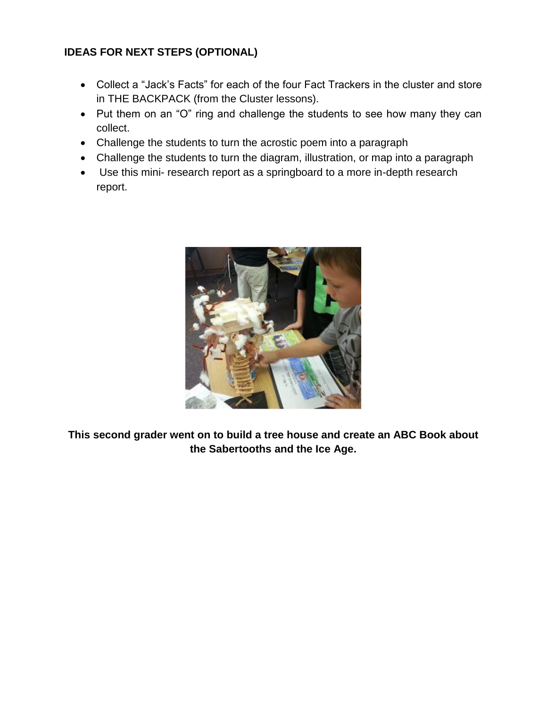#### **IDEAS FOR NEXT STEPS (OPTIONAL)**

- Collect a "Jack's Facts" for each of the four Fact Trackers in the cluster and store in THE BACKPACK (from the Cluster lessons).
- Put them on an "O" ring and challenge the students to see how many they can collect.
- Challenge the students to turn the acrostic poem into a paragraph
- Challenge the students to turn the diagram, illustration, or map into a paragraph
- Use this mini- research report as a springboard to a more in-depth research report.



**This second grader went on to build a tree house and create an ABC Book about the Sabertooths and the Ice Age.**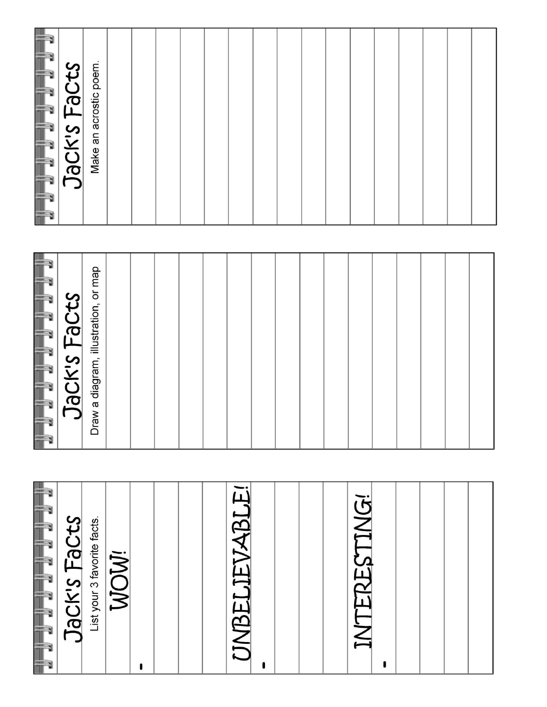|                 | Jack's Facts | Make an acrostic poem.               |      |  |  |                      |   |  |                     |  |  |  |
|-----------------|--------------|--------------------------------------|------|--|--|----------------------|---|--|---------------------|--|--|--|
|                 |              |                                      |      |  |  |                      |   |  |                     |  |  |  |
|                 | Jack's Facts | Draw a diagram, illustration, or map |      |  |  |                      |   |  |                     |  |  |  |
|                 |              |                                      |      |  |  |                      |   |  |                     |  |  |  |
|                 |              |                                      |      |  |  |                      |   |  |                     |  |  |  |
| UTUTUTUTUTUTUTU | Jack's Facts | List your 3 favorite facts.          | WOW! |  |  | <b>UNBELIEVABLE!</b> |   |  | <b>INTERESTING!</b> |  |  |  |
|                 |              |                                      |      |  |  |                      | ı |  |                     |  |  |  |